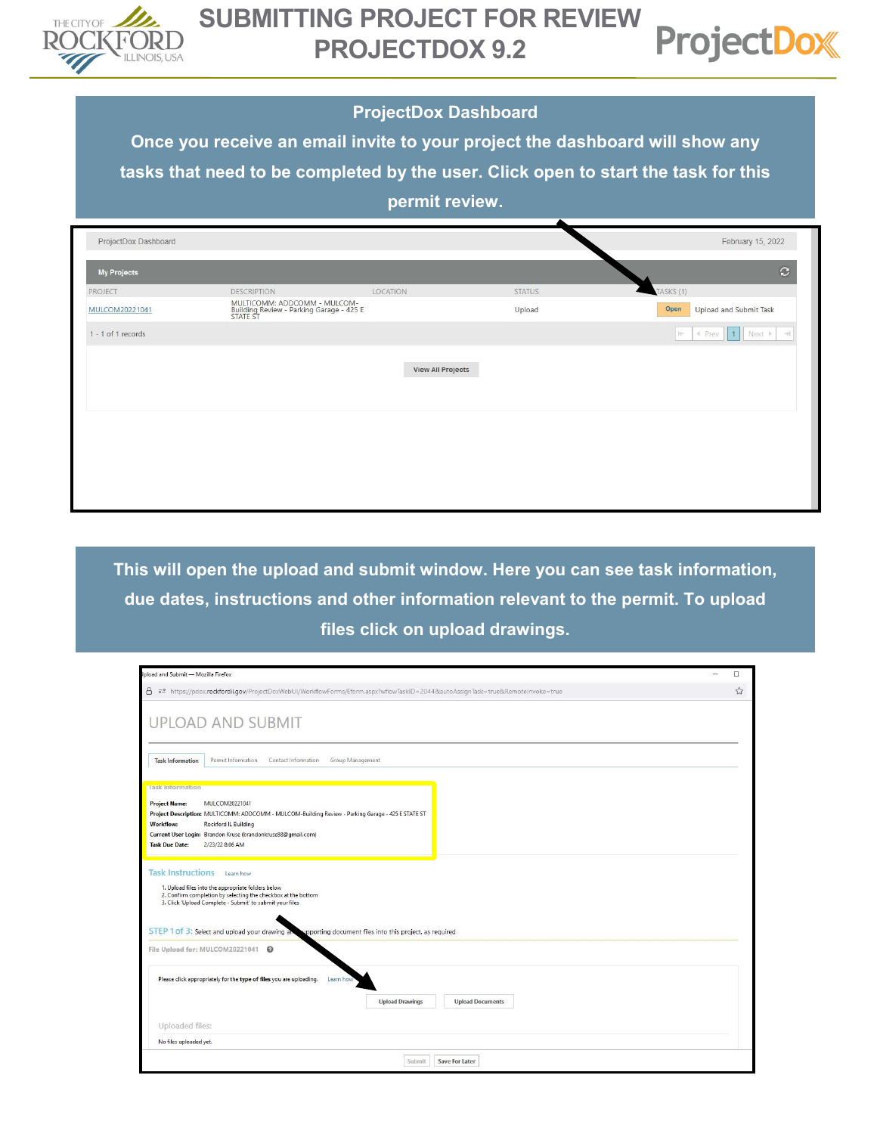



## **ProjectDox Dashboard**

**Once you receive an email invite to your project the dashboard will show any tasks that need to be completed by the user. Click open to start the task for this permit review.**

| ProjectDox Dashboard |                                                                                      |                          |               | February 15, 2022                          |
|----------------------|--------------------------------------------------------------------------------------|--------------------------|---------------|--------------------------------------------|
| <b>My Projects</b>   |                                                                                      |                          |               | $\mathbf{C}$                               |
| PROJECT              | DESCRIPTION                                                                          | LOCATION                 | <b>STATUS</b> | TASKS (1)                                  |
| MULCOM20221041       | MULTICOMM: ADDCOMM - MULCOM-<br>Building Review - Parking Garage - 425 E<br>STATE ST |                          | Upload        | Open<br>Upload and Submit Task             |
| 1 - 1 of 1 records   |                                                                                      |                          |               | I Prev   1 Next ▶   →<br>$\mid \leftarrow$ |
|                      |                                                                                      | <b>View All Projects</b> |               |                                            |
|                      |                                                                                      |                          |               |                                            |
|                      |                                                                                      |                          |               |                                            |
|                      |                                                                                      |                          |               |                                            |
|                      |                                                                                      |                          |               |                                            |

**This will open the upload and submit window. Here you can see task information, due dates, instructions and other information relevant to the permit. To upload files click on upload drawings.** 

| pload and Submit - Mozilla Firefox                                                                                                                                                                                                                                                         | $\Box$ |
|--------------------------------------------------------------------------------------------------------------------------------------------------------------------------------------------------------------------------------------------------------------------------------------------|--------|
| 8<br>52 https://pdox.rockfordil.gov/ProjectDoxWebUI/WorkflowForms/Eform.aspx?wflowTaskID=2044&autoAssignTask=true&RemoteInvoke=true                                                                                                                                                        | ☆      |
|                                                                                                                                                                                                                                                                                            |        |
| UPLOAD AND SUBMIT                                                                                                                                                                                                                                                                          |        |
|                                                                                                                                                                                                                                                                                            |        |
|                                                                                                                                                                                                                                                                                            |        |
| Group Management<br><b>Task Information</b><br>Permit Information<br>Contact Information                                                                                                                                                                                                   |        |
| <b>Task Information</b>                                                                                                                                                                                                                                                                    |        |
| MULCOM20221041<br><b>Project Name:</b>                                                                                                                                                                                                                                                     |        |
| Project Description: MULTICOMM: ADDCOMM - MULCOM-Building Review - Parking Garage - 425 E STATE ST                                                                                                                                                                                         |        |
| <b>Workflow:</b><br>Rockford IL Building                                                                                                                                                                                                                                                   |        |
| Current User Login: Brandon Kruse (brandonkruse88@qmail.com)                                                                                                                                                                                                                               |        |
| <b>Task Due Date:</b><br>2/23/22 8:06 AM                                                                                                                                                                                                                                                   |        |
| 1. Upload files into the appropriate folders below<br>2. Confirm completion by selecting the checkbox at the bottom<br>3. Click 'Upload Complete - Submit' to submit your files<br>STEP 1 of 3: Select and upload your drawing a<br>pporting document files into this project, as required |        |
| File Upload for: MULCOM20221041                                                                                                                                                                                                                                                            |        |
| Please click appropriately for the type of files you are uploading.<br>Learn how<br><b>Upload Documents</b><br><b>Upload Drawings</b>                                                                                                                                                      |        |
| Uploaded files:                                                                                                                                                                                                                                                                            |        |
| No files uploaded yet.                                                                                                                                                                                                                                                                     |        |
| Save For Later<br>Submit                                                                                                                                                                                                                                                                   |        |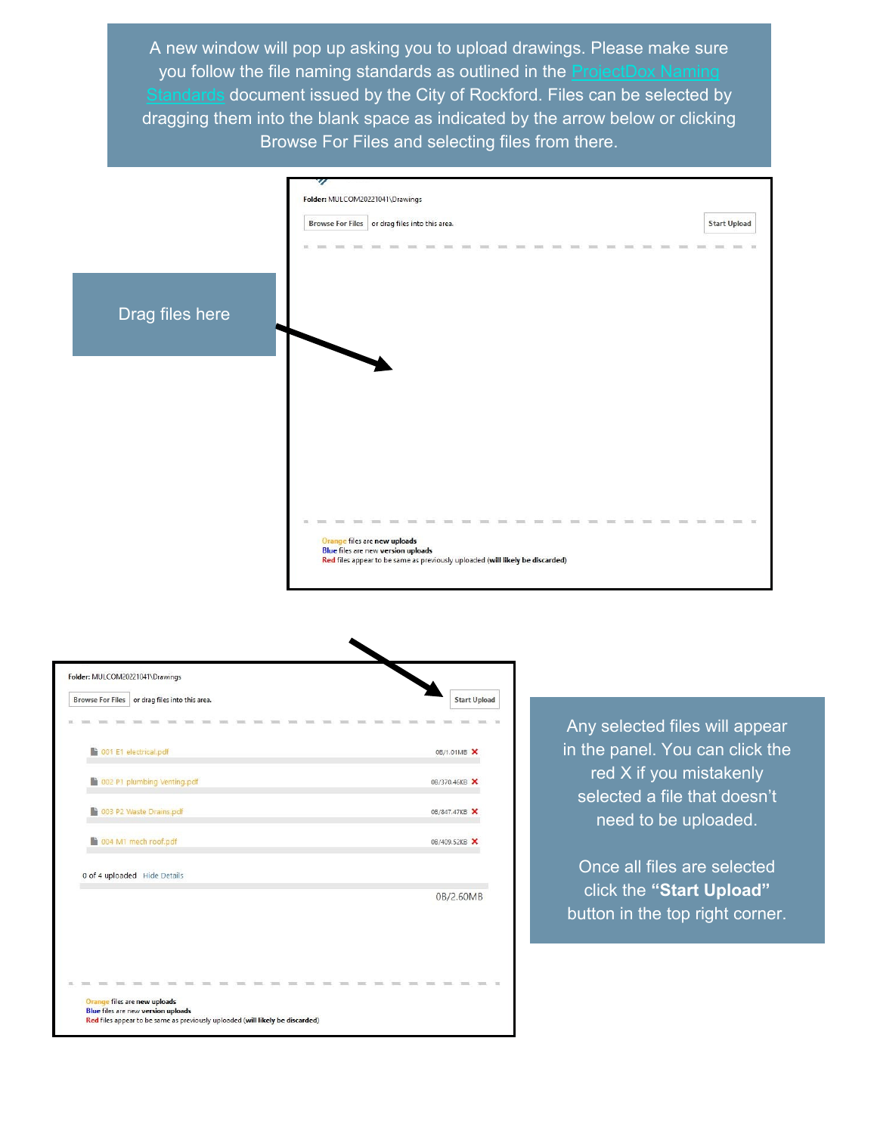A new window will pop up asking you to upload drawings. Please make sure you follow the file naming standards as outlined in the [ProjectDox Naming](https://rockfordil.gov/wp-content/uploads/2022/03/ProjectDox-File-Naming-Standards.pdf)  document issued by the City of Rockford. Files can be selected by dragging them into the blank space as indicated by the arrow below or clicking Browse For Files and selecting files from there.





Any selected files will appear in the panel. You can click the red X if you mistakenly selected a file that doesn't need to be uploaded.

Once all files are selected click the **"Start Upload"**  button in the top right corner.